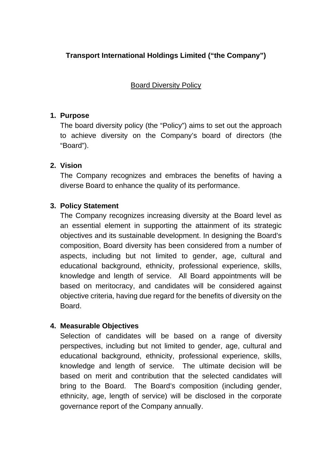# **Transport International Holdings Limited ("the Company")**

Board Diversity Policy

#### **1. Purpose**

The board diversity policy (the "Policy") aims to set out the approach to achieve diversity on the Company's board of directors (the "Board").

### **2. Vision**

The Company recognizes and embraces the benefits of having a diverse Board to enhance the quality of its performance.

### **3. Policy Statement**

The Company recognizes increasing diversity at the Board level as an essential element in supporting the attainment of its strategic objectives and its sustainable development. In designing the Board's composition, Board diversity has been considered from a number of aspects, including but not limited to gender, age, cultural and educational background, ethnicity, professional experience, skills, knowledge and length of service. All Board appointments will be based on meritocracy, and candidates will be considered against objective criteria, having due regard for the benefits of diversity on the Board.

### **4. Measurable Objectives**

Selection of candidates will be based on a range of diversity perspectives, including but not limited to gender, age, cultural and educational background, ethnicity, professional experience, skills, knowledge and length of service. The ultimate decision will be based on merit and contribution that the selected candidates will bring to the Board. The Board's composition (including gender, ethnicity, age, length of service) will be disclosed in the corporate governance report of the Company annually.